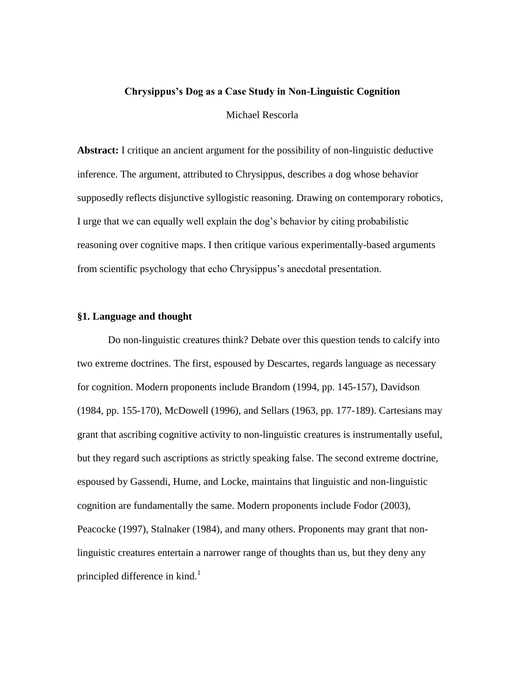### **Chrysippus's Dog as a Case Study in Non-Linguistic Cognition**

Michael Rescorla

**Abstract:** I critique an ancient argument for the possibility of non-linguistic deductive inference. The argument, attributed to Chrysippus, describes a dog whose behavior supposedly reflects disjunctive syllogistic reasoning. Drawing on contemporary robotics, I urge that we can equally well explain the dog's behavior by citing probabilistic reasoning over cognitive maps. I then critique various experimentally-based arguments from scientific psychology that echo Chrysippus's anecdotal presentation.

# **§1. Language and thought**

Do non-linguistic creatures think? Debate over this question tends to calcify into two extreme doctrines. The first, espoused by Descartes, regards language as necessary for cognition. Modern proponents include Brandom (1994, pp. 145-157), Davidson (1984, pp. 155-170), McDowell (1996), and Sellars (1963, pp. 177-189). Cartesians may grant that ascribing cognitive activity to non-linguistic creatures is instrumentally useful, but they regard such ascriptions as strictly speaking false. The second extreme doctrine, espoused by Gassendi, Hume, and Locke, maintains that linguistic and non-linguistic cognition are fundamentally the same. Modern proponents include Fodor (2003), Peacocke (1997), Stalnaker (1984), and many others. Proponents may grant that nonlinguistic creatures entertain a narrower range of thoughts than us, but they deny any principled difference in kind.<sup>1</sup>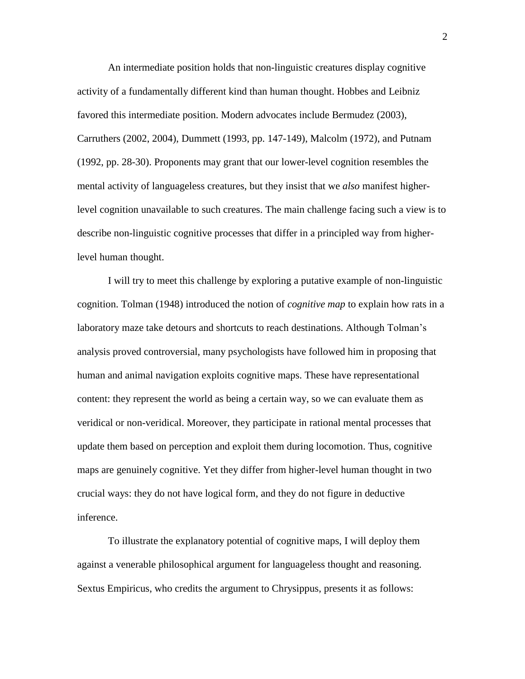An intermediate position holds that non-linguistic creatures display cognitive activity of a fundamentally different kind than human thought. Hobbes and Leibniz favored this intermediate position. Modern advocates include Bermudez (2003), Carruthers (2002, 2004), Dummett (1993, pp. 147-149), Malcolm (1972), and Putnam (1992, pp. 28-30). Proponents may grant that our lower-level cognition resembles the mental activity of languageless creatures, but they insist that we *also* manifest higherlevel cognition unavailable to such creatures. The main challenge facing such a view is to describe non-linguistic cognitive processes that differ in a principled way from higherlevel human thought.

I will try to meet this challenge by exploring a putative example of non-linguistic cognition. Tolman (1948) introduced the notion of *cognitive map* to explain how rats in a laboratory maze take detours and shortcuts to reach destinations. Although Tolman's analysis proved controversial, many psychologists have followed him in proposing that human and animal navigation exploits cognitive maps. These have representational content: they represent the world as being a certain way, so we can evaluate them as veridical or non-veridical. Moreover, they participate in rational mental processes that update them based on perception and exploit them during locomotion. Thus, cognitive maps are genuinely cognitive. Yet they differ from higher-level human thought in two crucial ways: they do not have logical form, and they do not figure in deductive inference.

To illustrate the explanatory potential of cognitive maps, I will deploy them against a venerable philosophical argument for languageless thought and reasoning. Sextus Empiricus, who credits the argument to Chrysippus, presents it as follows: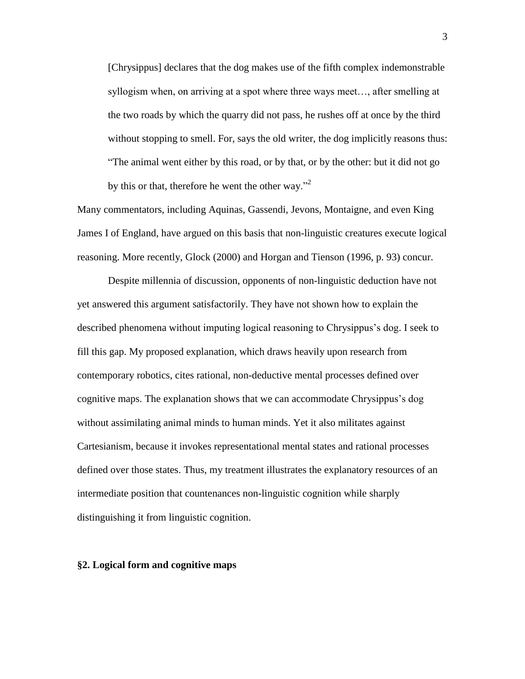[Chrysippus] declares that the dog makes use of the fifth complex indemonstrable syllogism when, on arriving at a spot where three ways meet…, after smelling at the two roads by which the quarry did not pass, he rushes off at once by the third without stopping to smell. For, says the old writer, the dog implicitly reasons thus: "The animal went either by this road, or by that, or by the other: but it did not go by this or that, therefore he went the other way."<sup>2</sup>

Many commentators, including Aquinas, Gassendi, Jevons, Montaigne, and even King James I of England, have argued on this basis that non-linguistic creatures execute logical reasoning. More recently, Glock (2000) and Horgan and Tienson (1996, p. 93) concur.

Despite millennia of discussion, opponents of non-linguistic deduction have not yet answered this argument satisfactorily. They have not shown how to explain the described phenomena without imputing logical reasoning to Chrysippus's dog. I seek to fill this gap. My proposed explanation, which draws heavily upon research from contemporary robotics, cites rational, non-deductive mental processes defined over cognitive maps. The explanation shows that we can accommodate Chrysippus's dog without assimilating animal minds to human minds. Yet it also militates against Cartesianism, because it invokes representational mental states and rational processes defined over those states. Thus, my treatment illustrates the explanatory resources of an intermediate position that countenances non-linguistic cognition while sharply distinguishing it from linguistic cognition.

### **§2. Logical form and cognitive maps**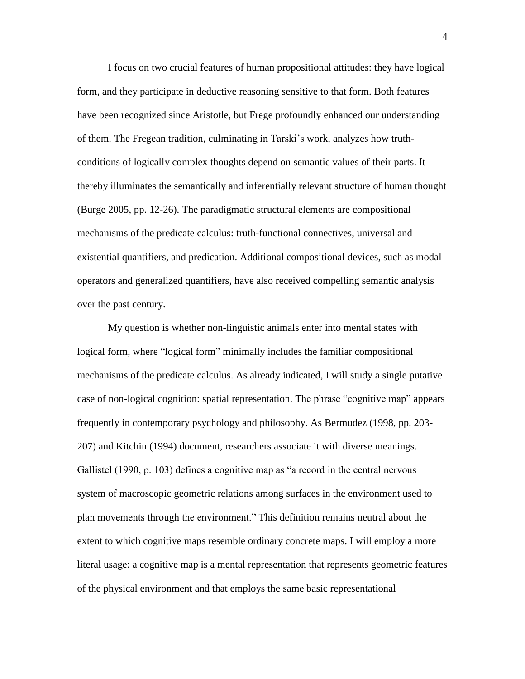I focus on two crucial features of human propositional attitudes: they have logical form, and they participate in deductive reasoning sensitive to that form. Both features have been recognized since Aristotle, but Frege profoundly enhanced our understanding of them. The Fregean tradition, culminating in Tarski's work, analyzes how truthconditions of logically complex thoughts depend on semantic values of their parts. It thereby illuminates the semantically and inferentially relevant structure of human thought (Burge 2005, pp. 12-26). The paradigmatic structural elements are compositional mechanisms of the predicate calculus: truth-functional connectives, universal and existential quantifiers, and predication. Additional compositional devices, such as modal operators and generalized quantifiers, have also received compelling semantic analysis over the past century.

My question is whether non-linguistic animals enter into mental states with logical form, where "logical form" minimally includes the familiar compositional mechanisms of the predicate calculus. As already indicated, I will study a single putative case of non-logical cognition: spatial representation. The phrase "cognitive map" appears frequently in contemporary psychology and philosophy. As Bermudez (1998, pp. 203- 207) and Kitchin (1994) document, researchers associate it with diverse meanings. Gallistel (1990, p. 103) defines a cognitive map as "a record in the central nervous system of macroscopic geometric relations among surfaces in the environment used to plan movements through the environment." This definition remains neutral about the extent to which cognitive maps resemble ordinary concrete maps. I will employ a more literal usage: a cognitive map is a mental representation that represents geometric features of the physical environment and that employs the same basic representational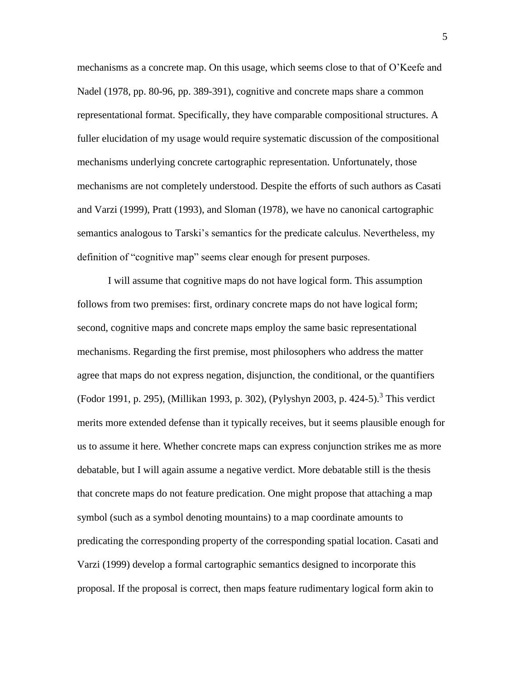mechanisms as a concrete map. On this usage, which seems close to that of O'Keefe and Nadel (1978, pp. 80-96, pp. 389-391), cognitive and concrete maps share a common representational format. Specifically, they have comparable compositional structures. A fuller elucidation of my usage would require systematic discussion of the compositional mechanisms underlying concrete cartographic representation. Unfortunately, those mechanisms are not completely understood. Despite the efforts of such authors as Casati and Varzi (1999), Pratt (1993), and Sloman (1978), we have no canonical cartographic semantics analogous to Tarski's semantics for the predicate calculus. Nevertheless, my definition of "cognitive map" seems clear enough for present purposes.

I will assume that cognitive maps do not have logical form. This assumption follows from two premises: first, ordinary concrete maps do not have logical form; second, cognitive maps and concrete maps employ the same basic representational mechanisms. Regarding the first premise, most philosophers who address the matter agree that maps do not express negation, disjunction, the conditional, or the quantifiers (Fodor 1991, p. 295), (Millikan 1993, p. 302), (Pylyshyn 2003, p. 424-5).<sup>3</sup> This verdict merits more extended defense than it typically receives, but it seems plausible enough for us to assume it here. Whether concrete maps can express conjunction strikes me as more debatable, but I will again assume a negative verdict. More debatable still is the thesis that concrete maps do not feature predication. One might propose that attaching a map symbol (such as a symbol denoting mountains) to a map coordinate amounts to predicating the corresponding property of the corresponding spatial location. Casati and Varzi (1999) develop a formal cartographic semantics designed to incorporate this proposal. If the proposal is correct, then maps feature rudimentary logical form akin to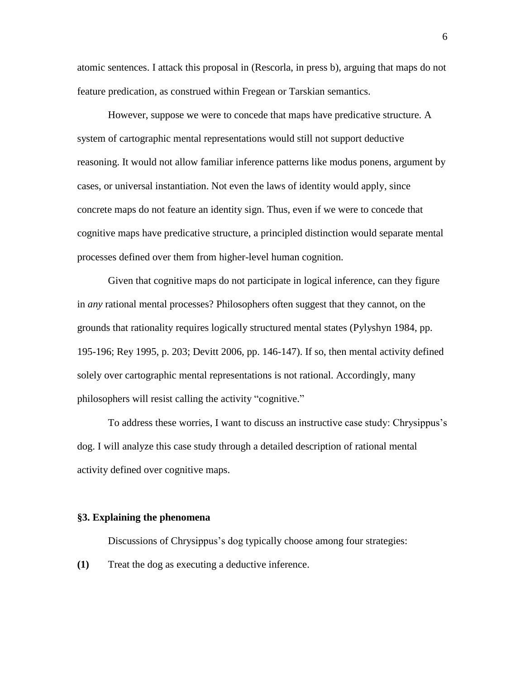atomic sentences. I attack this proposal in (Rescorla, in press b), arguing that maps do not feature predication, as construed within Fregean or Tarskian semantics.

However, suppose we were to concede that maps have predicative structure. A system of cartographic mental representations would still not support deductive reasoning. It would not allow familiar inference patterns like modus ponens, argument by cases, or universal instantiation. Not even the laws of identity would apply, since concrete maps do not feature an identity sign. Thus, even if we were to concede that cognitive maps have predicative structure, a principled distinction would separate mental processes defined over them from higher-level human cognition.

Given that cognitive maps do not participate in logical inference, can they figure in *any* rational mental processes? Philosophers often suggest that they cannot, on the grounds that rationality requires logically structured mental states (Pylyshyn 1984, pp. 195-196; Rey 1995, p. 203; Devitt 2006, pp. 146-147). If so, then mental activity defined solely over cartographic mental representations is not rational. Accordingly, many philosophers will resist calling the activity "cognitive."

To address these worries, I want to discuss an instructive case study: Chrysippus's dog. I will analyze this case study through a detailed description of rational mental activity defined over cognitive maps.

### **§3. Explaining the phenomena**

Discussions of Chrysippus's dog typically choose among four strategies:

**(1)** Treat the dog as executing a deductive inference.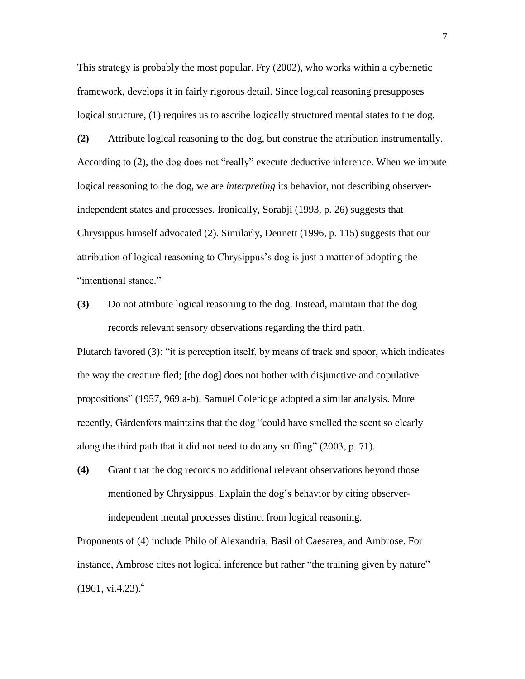This strategy is probably the most popular. Fry (2002), who works within a cybernetic framework, develops it in fairly rigorous detail. Since logical reasoning presupposes logical structure, (1) requires us to ascribe logically structured mental states to the dog.

**(2)** Attribute logical reasoning to the dog, but construe the attribution instrumentally. According to (2), the dog does not "really" execute deductive inference. When we impute logical reasoning to the dog, we are *interpreting* its behavior, not describing observerindependent states and processes. Ironically, Sorabji (1993, p. 26) suggests that Chrysippus himself advocated (2). Similarly, Dennett (1996, p. 115) suggests that our attribution of logical reasoning to Chrysippus's dog is just a matter of adopting the "intentional stance."

**(3)** Do not attribute logical reasoning to the dog. Instead, maintain that the dog records relevant sensory observations regarding the third path.

Plutarch favored (3): "it is perception itself, by means of track and spoor, which indicates the way the creature fled; [the dog] does not bother with disjunctive and copulative propositions" (1957, 969.a-b). Samuel Coleridge adopted a similar analysis. More recently, Gärdenfors maintains that the dog "could have smelled the scent so clearly along the third path that it did not need to do any sniffing" (2003, p. 71).

**(4)** Grant that the dog records no additional relevant observations beyond those mentioned by Chrysippus. Explain the dog's behavior by citing observerindependent mental processes distinct from logical reasoning.

Proponents of (4) include Philo of Alexandria, Basil of Caesarea, and Ambrose. For instance, Ambrose cites not logical inference but rather "the training given by nature"  $(1961, vi.4.23).<sup>4</sup>$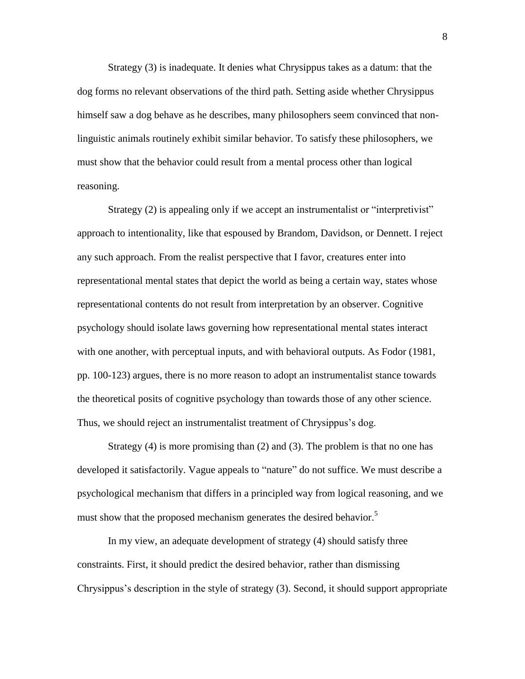Strategy (3) is inadequate. It denies what Chrysippus takes as a datum: that the dog forms no relevant observations of the third path. Setting aside whether Chrysippus himself saw a dog behave as he describes, many philosophers seem convinced that nonlinguistic animals routinely exhibit similar behavior. To satisfy these philosophers, we must show that the behavior could result from a mental process other than logical reasoning.

Strategy (2) is appealing only if we accept an instrumentalist or "interpretivist" approach to intentionality, like that espoused by Brandom, Davidson, or Dennett. I reject any such approach. From the realist perspective that I favor, creatures enter into representational mental states that depict the world as being a certain way, states whose representational contents do not result from interpretation by an observer. Cognitive psychology should isolate laws governing how representational mental states interact with one another, with perceptual inputs, and with behavioral outputs. As Fodor (1981, pp. 100-123) argues, there is no more reason to adopt an instrumentalist stance towards the theoretical posits of cognitive psychology than towards those of any other science. Thus, we should reject an instrumentalist treatment of Chrysippus's dog.

Strategy (4) is more promising than (2) and (3). The problem is that no one has developed it satisfactorily. Vague appeals to "nature" do not suffice. We must describe a psychological mechanism that differs in a principled way from logical reasoning, and we must show that the proposed mechanism generates the desired behavior.<sup>5</sup>

In my view, an adequate development of strategy (4) should satisfy three constraints. First, it should predict the desired behavior, rather than dismissing Chrysippus's description in the style of strategy (3). Second, it should support appropriate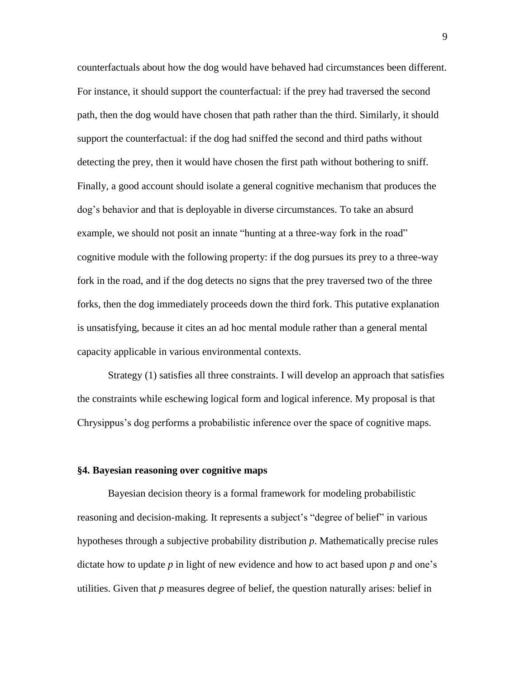counterfactuals about how the dog would have behaved had circumstances been different. For instance, it should support the counterfactual: if the prey had traversed the second path, then the dog would have chosen that path rather than the third. Similarly, it should support the counterfactual: if the dog had sniffed the second and third paths without detecting the prey, then it would have chosen the first path without bothering to sniff. Finally, a good account should isolate a general cognitive mechanism that produces the dog's behavior and that is deployable in diverse circumstances. To take an absurd example, we should not posit an innate "hunting at a three-way fork in the road" cognitive module with the following property: if the dog pursues its prey to a three-way fork in the road, and if the dog detects no signs that the prey traversed two of the three forks, then the dog immediately proceeds down the third fork. This putative explanation is unsatisfying, because it cites an ad hoc mental module rather than a general mental capacity applicable in various environmental contexts.

Strategy (1) satisfies all three constraints. I will develop an approach that satisfies the constraints while eschewing logical form and logical inference. My proposal is that Chrysippus's dog performs a probabilistic inference over the space of cognitive maps.

#### **§4. Bayesian reasoning over cognitive maps**

Bayesian decision theory is a formal framework for modeling probabilistic reasoning and decision-making. It represents a subject's "degree of belief" in various hypotheses through a subjective probability distribution *p*. Mathematically precise rules dictate how to update *p* in light of new evidence and how to act based upon *p* and one's utilities. Given that *p* measures degree of belief, the question naturally arises: belief in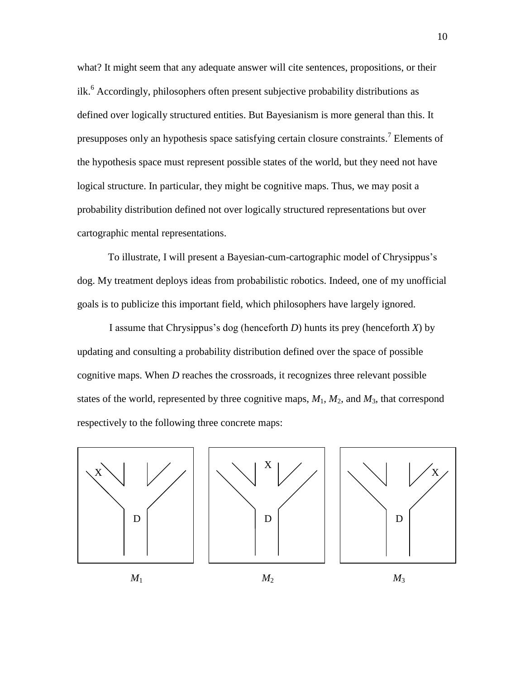what? It might seem that any adequate answer will cite sentences, propositions, or their ilk. <sup>6</sup> Accordingly, philosophers often present subjective probability distributions as defined over logically structured entities. But Bayesianism is more general than this. It presupposes only an hypothesis space satisfying certain closure constraints.<sup>7</sup> Elements of the hypothesis space must represent possible states of the world, but they need not have logical structure. In particular, they might be cognitive maps. Thus, we may posit a probability distribution defined not over logically structured representations but over cartographic mental representations.

To illustrate, I will present a Bayesian-cum-cartographic model of Chrysippus's dog. My treatment deploys ideas from probabilistic robotics. Indeed, one of my unofficial goals is to publicize this important field, which philosophers have largely ignored.

I assume that Chrysippus's dog (henceforth *D*) hunts its prey (henceforth *X*) by updating and consulting a probability distribution defined over the space of possible cognitive maps. When *D* reaches the crossroads, it recognizes three relevant possible states of the world, represented by three cognitive maps,  $M_1$ ,  $M_2$ , and  $M_3$ , that correspond respectively to the following three concrete maps:

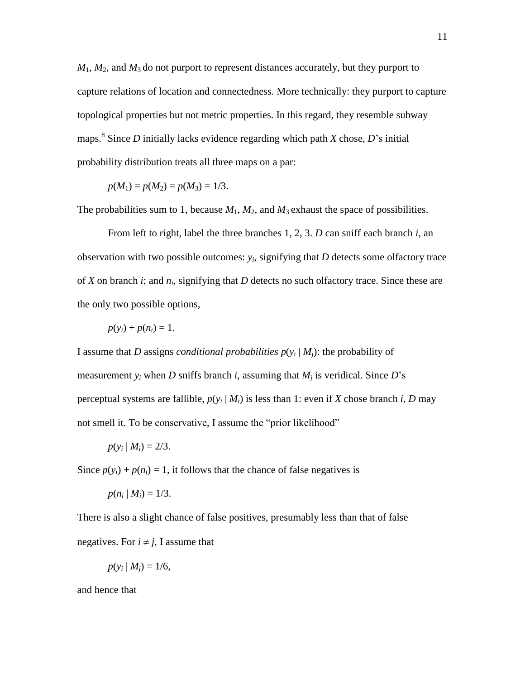$M_1$ ,  $M_2$ , and  $M_3$  do not purport to represent distances accurately, but they purport to capture relations of location and connectedness. More technically: they purport to capture topological properties but not metric properties. In this regard, they resemble subway maps.<sup>8</sup> Since *D* initially lacks evidence regarding which path *X* chose, *D*'s initial probability distribution treats all three maps on a par:

$$
p(M_1) = p(M_2) = p(M_3) = 1/3.
$$

The probabilities sum to 1, because  $M_1$ ,  $M_2$ , and  $M_3$  exhaust the space of possibilities.

From left to right, label the three branches 1, 2, 3. *D* can sniff each branch *i*, an observation with two possible outcomes:  $y_i$ , signifying that  $D$  detects some olfactory trace of *X* on branch *i*; and *n<sup>i</sup>* , signifying that *D* detects no such olfactory trace. Since these are the only two possible options,

$$
p(y_i) + p(n_i) = 1.
$$

I assume that *D* assigns *conditional probabilities*  $p(y_i | M_j)$ : the probability of measurement  $y_i$  when *D* sniffs branch *i*, assuming that  $M_i$  is veridical. Since *D*'s perceptual systems are fallible,  $p(y_i | M_i)$  is less than 1: even if *X* chose branch *i*, *D* may not smell it. To be conservative, I assume the "prior likelihood"

$$
p(y_i \mid M_i) = 2/3.
$$

Since  $p(y_i) + p(n_i) = 1$ , it follows that the chance of false negatives is

$$
p(n_i | M_i) = 1/3.
$$

There is also a slight chance of false positives, presumably less than that of false negatives. For  $i \neq j$ , I assume that

$$
p(y_i \mid M_j) = 1/6,
$$

and hence that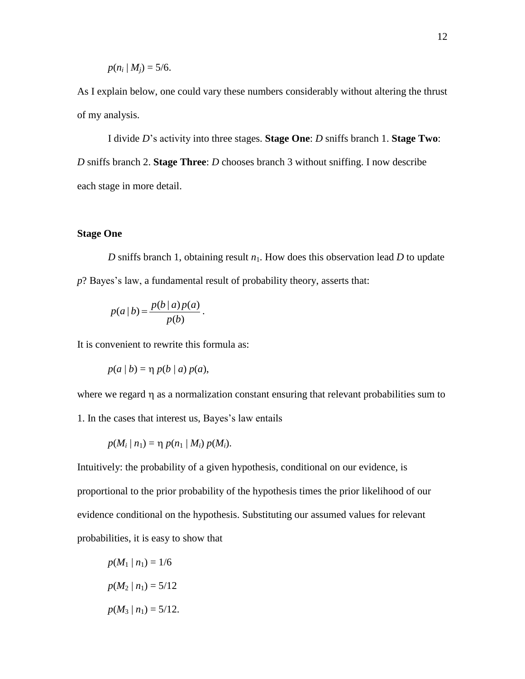$$
p(n_i | M_j) = 5/6.
$$

As I explain below, one could vary these numbers considerably without altering the thrust of my analysis.

I divide *D*'s activity into three stages. **Stage One**: *D* sniffs branch 1. **Stage Two**: *D* sniffs branch 2. **Stage Three**: *D* chooses branch 3 without sniffing. I now describe each stage in more detail.

# **Stage One**

*D* sniffs branch 1, obtaining result  $n_1$ . How does this observation lead *D* to update *p*? Bayes's law, a fundamental result of probability theory, asserts that:

$$
p(a | b) = \frac{p(b | a) p(a)}{p(b)}.
$$

It is convenient to rewrite this formula as:

$$
p(a | b) = \eta p(b | a) p(a),
$$

where we regard  $\eta$  as a normalization constant ensuring that relevant probabilities sum to

1. In the cases that interest us, Bayes's law entails

$$
p(M_i | n_1) = \eta p(n_1 | M_i) p(M_i).
$$

Intuitively: the probability of a given hypothesis, conditional on our evidence, is proportional to the prior probability of the hypothesis times the prior likelihood of our evidence conditional on the hypothesis. Substituting our assumed values for relevant probabilities, it is easy to show that

 $p(M_1 | n_1) = 1/6$  $p(M_2 | n_1) = 5/12$  $p(M_3 | n_1) = 5/12$ .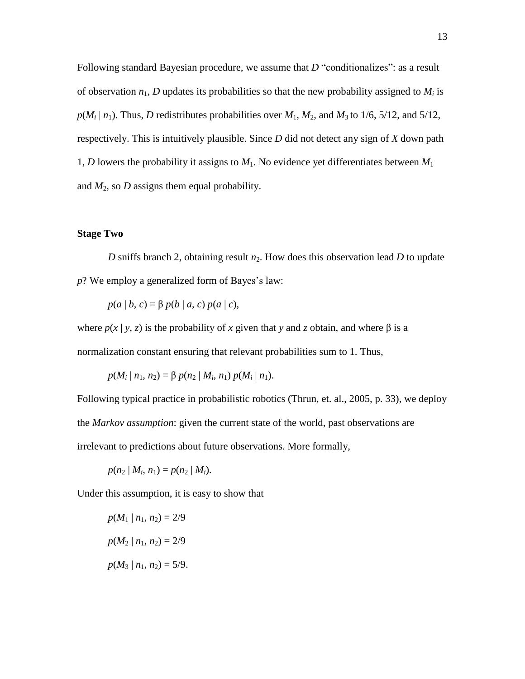Following standard Bayesian procedure, we assume that *D* "conditionalizes": as a result of observation  $n_1$ , *D* updates its probabilities so that the new probability assigned to  $M_i$  is  $p(M_i \mid n_1)$ . Thus, *D* redistributes probabilities over  $M_1$ ,  $M_2$ , and  $M_3$  to 1/6, 5/12, and 5/12, respectively. This is intuitively plausible. Since *D* did not detect any sign of *X* down path 1, *D* lowers the probability it assigns to *M*1. No evidence yet differentiates between *M*<sup>1</sup> and  $M_2$ , so  $D$  assigns them equal probability.

## **Stage Two**

*D* sniffs branch 2, obtaining result *n*<sub>2</sub>. How does this observation lead *D* to update *p*? We employ a generalized form of Bayes's law:

 $p(a | b, c) = \beta p(b | a, c) p(a | c),$ 

where  $p(x | y, z)$  is the probability of x given that y and z obtain, and where  $\beta$  is a normalization constant ensuring that relevant probabilities sum to 1. Thus,

$$
p(M_i | n_1, n_2) = \beta p(n_2 | M_i, n_1) p(M_i | n_1).
$$

Following typical practice in probabilistic robotics (Thrun, et. al., 2005, p. 33), we deploy the *Markov assumption*: given the current state of the world, past observations are irrelevant to predictions about future observations. More formally,

 $p(n_2 | M_i, n_1) = p(n_2 | M_i).$ 

Under this assumption, it is easy to show that

$$
p(M_1 | n_1, n_2) = 2/9
$$
  
 
$$
p(M_2 | n_1, n_2) = 2/9
$$
  
 
$$
p(M_3 | n_1, n_2) = 5/9.
$$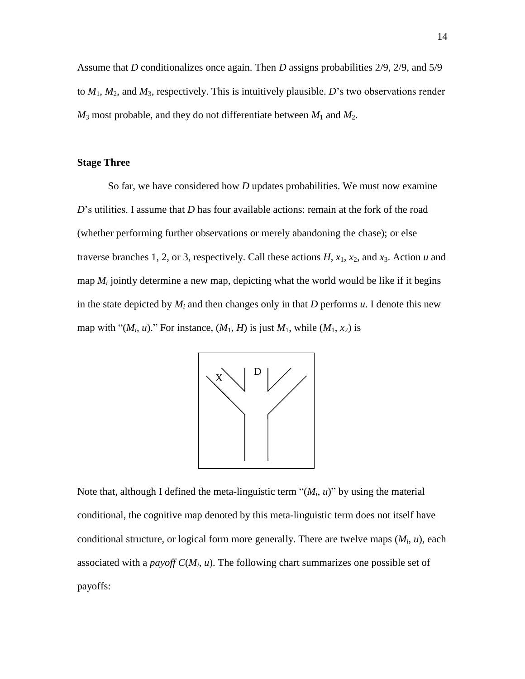Assume that *D* conditionalizes once again. Then *D* assigns probabilities 2/9, 2/9, and 5/9 to  $M_1$ ,  $M_2$ , and  $M_3$ , respectively. This is intuitively plausible. *D*'s two observations render  $M_3$  most probable, and they do not differentiate between  $M_1$  and  $M_2$ .

# **Stage Three**

So far, we have considered how *D* updates probabilities. We must now examine *D*'s utilities. I assume that *D* has four available actions: remain at the fork of the road (whether performing further observations or merely abandoning the chase); or else traverse branches 1, 2, or 3, respectively. Call these actions  $H$ ,  $x_1$ ,  $x_2$ , and  $x_3$ . Action  $u$  and map  $M_i$  jointly determine a new map, depicting what the world would be like if it begins in the state depicted by  $M_i$  and then changes only in that *D* performs  $u$ . I denote this new map with " $(M_i, u)$ ." For instance,  $(M_1, H)$  is just  $M_1$ , while  $(M_1, x_2)$  is



Note that, although I defined the meta-linguistic term " $(M_i, u)$ " by using the material conditional, the cognitive map denoted by this meta-linguistic term does not itself have conditional structure, or logical form more generally. There are twelve maps (*M<sup>i</sup>* , *u*), each associated with a *payoff C*(*M<sup>i</sup>* , *u*). The following chart summarizes one possible set of payoffs: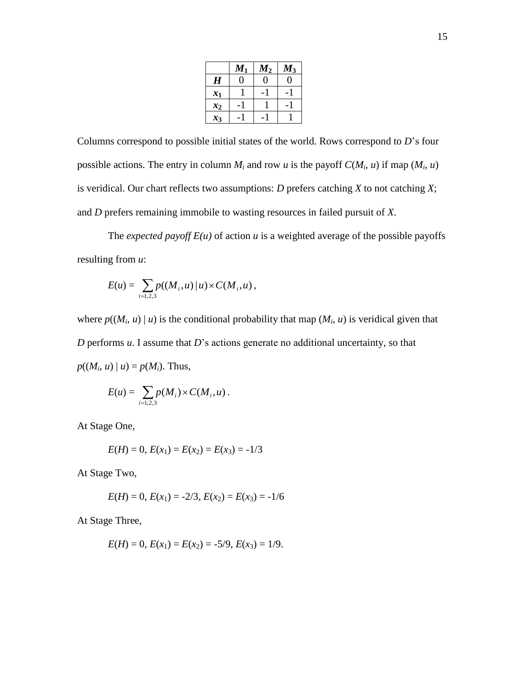|       | $\boldsymbol{M_1}$ | $\bm{M_2}$ | $\boldsymbol{M_3}$ |
|-------|--------------------|------------|--------------------|
| H     |                    | 0          | 0                  |
| $x_1$ |                    |            |                    |
| $x_2$ |                    |            |                    |
| $x_3$ |                    |            |                    |

Columns correspond to possible initial states of the world. Rows correspond to *D*'s four possible actions. The entry in column  $M_i$  and row  $u$  is the payoff  $C(M_i, u)$  if map  $(M_i, u)$ is veridical. Our chart reflects two assumptions: *D* prefers catching *X* to not catching *X*; and *D* prefers remaining immobile to wasting resources in failed pursuit of *X*.

The *expected payoff*  $E(u)$  of action  $u$  is a weighted average of the possible payoffs resulting from *u*:

$$
E(u) = \sum_{i=1,2,3} p((M_i, u) | u) \times C(M_i, u),
$$

where  $p((M_i, u) | u)$  is the conditional probability that map  $(M_i, u)$  is veridical given that *D* performs *u*. I assume that *D*'s actions generate no additional uncertainty, so that  $p((M_i, u) | u) = p(M_i)$ . Thus,

$$
E(u) = \sum_{i=1,2,3} p(M_i) \times C(M_i, u) .
$$

At Stage One,

$$
E(H) = 0, E(x_1) = E(x_2) = E(x_3) = -1/3
$$

At Stage Two,

$$
E(H) = 0, E(x_1) = -2/3, E(x_2) = E(x_3) = -1/6
$$

At Stage Three,

$$
E(H) = 0, E(x_1) = E(x_2) = -5/9, E(x_3) = 1/9.
$$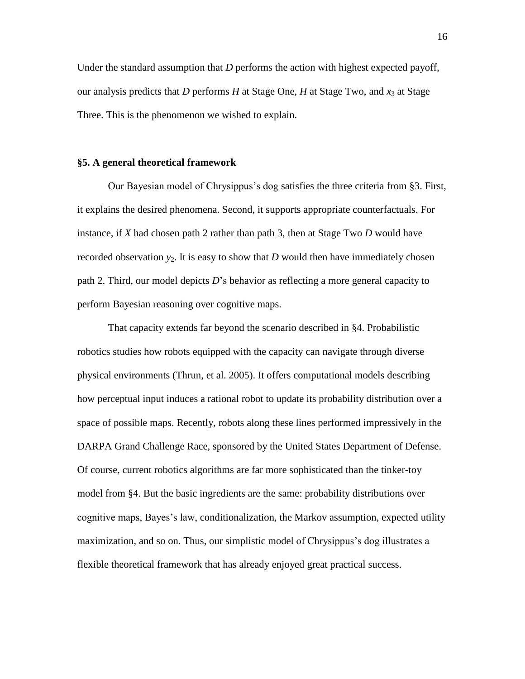Under the standard assumption that *D* performs the action with highest expected payoff, our analysis predicts that *D* performs *H* at Stage One, *H* at Stage Two, and  $x_3$  at Stage Three. This is the phenomenon we wished to explain.

# **§5. A general theoretical framework**

Our Bayesian model of Chrysippus's dog satisfies the three criteria from §3. First, it explains the desired phenomena. Second, it supports appropriate counterfactuals. For instance, if *X* had chosen path 2 rather than path 3, then at Stage Two *D* would have recorded observation  $y_2$ . It is easy to show that *D* would then have immediately chosen path 2. Third, our model depicts *D*'s behavior as reflecting a more general capacity to perform Bayesian reasoning over cognitive maps.

That capacity extends far beyond the scenario described in §4. Probabilistic robotics studies how robots equipped with the capacity can navigate through diverse physical environments (Thrun, et al. 2005). It offers computational models describing how perceptual input induces a rational robot to update its probability distribution over a space of possible maps. Recently, robots along these lines performed impressively in the DARPA Grand Challenge Race, sponsored by the United States Department of Defense. Of course, current robotics algorithms are far more sophisticated than the tinker-toy model from §4. But the basic ingredients are the same: probability distributions over cognitive maps, Bayes's law, conditionalization, the Markov assumption, expected utility maximization, and so on. Thus, our simplistic model of Chrysippus's dog illustrates a flexible theoretical framework that has already enjoyed great practical success.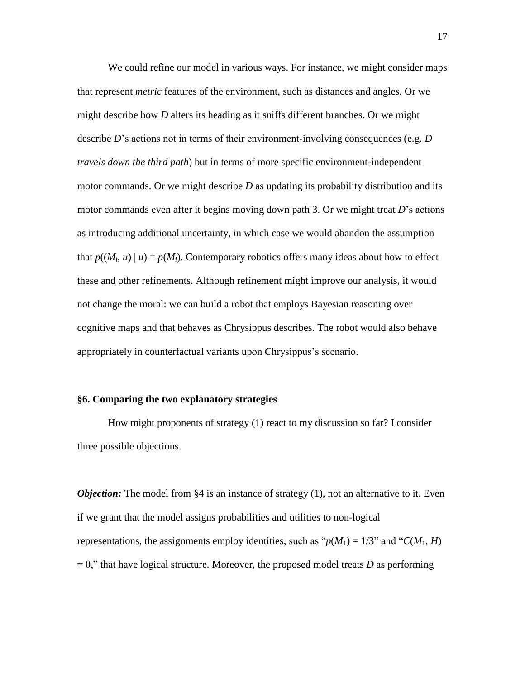We could refine our model in various ways. For instance, we might consider maps that represent *metric* features of the environment, such as distances and angles. Or we might describe how *D* alters its heading as it sniffs different branches. Or we might describe *D*'s actions not in terms of their environment-involving consequences (e.g. *D travels down the third path*) but in terms of more specific environment-independent motor commands. Or we might describe *D* as updating its probability distribution and its motor commands even after it begins moving down path 3. Or we might treat *D*'s actions as introducing additional uncertainty, in which case we would abandon the assumption that  $p((M_i, u) \mid u) = p(M_i)$ . Contemporary robotics offers many ideas about how to effect these and other refinements. Although refinement might improve our analysis, it would not change the moral: we can build a robot that employs Bayesian reasoning over cognitive maps and that behaves as Chrysippus describes. The robot would also behave appropriately in counterfactual variants upon Chrysippus's scenario.

# **§6. Comparing the two explanatory strategies**

How might proponents of strategy (1) react to my discussion so far? I consider three possible objections.

*Objection:* The model from §4 is an instance of strategy (1), not an alternative to it. Even if we grant that the model assigns probabilities and utilities to non-logical representations, the assignments employ identities, such as " $p(M_1) = 1/3$ " and " $C(M_1, H)$ "  $= 0$ ," that have logical structure. Moreover, the proposed model treats *D* as performing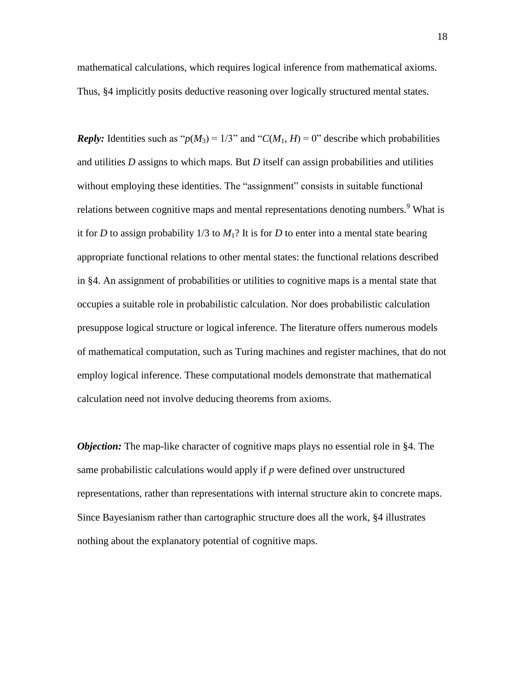mathematical calculations, which requires logical inference from mathematical axioms. Thus, §4 implicitly posits deductive reasoning over logically structured mental states.

*Reply:* Identities such as " $p(M_3) = 1/3$ " and " $C(M_1, H) = 0$ " describe which probabilities and utilities *D* assigns to which maps. But *D* itself can assign probabilities and utilities without employing these identities. The "assignment" consists in suitable functional relations between cognitive maps and mental representations denoting numbers.<sup>9</sup> What is it for *D* to assign probability  $1/3$  to  $M_1$ ? It is for *D* to enter into a mental state bearing appropriate functional relations to other mental states: the functional relations described in §4. An assignment of probabilities or utilities to cognitive maps is a mental state that occupies a suitable role in probabilistic calculation. Nor does probabilistic calculation presuppose logical structure or logical inference. The literature offers numerous models of mathematical computation, such as Turing machines and register machines, that do not employ logical inference. These computational models demonstrate that mathematical calculation need not involve deducing theorems from axioms.

*Objection:* The map-like character of cognitive maps plays no essential role in §4. The same probabilistic calculations would apply if *p* were defined over unstructured representations, rather than representations with internal structure akin to concrete maps. Since Bayesianism rather than cartographic structure does all the work, §4 illustrates nothing about the explanatory potential of cognitive maps.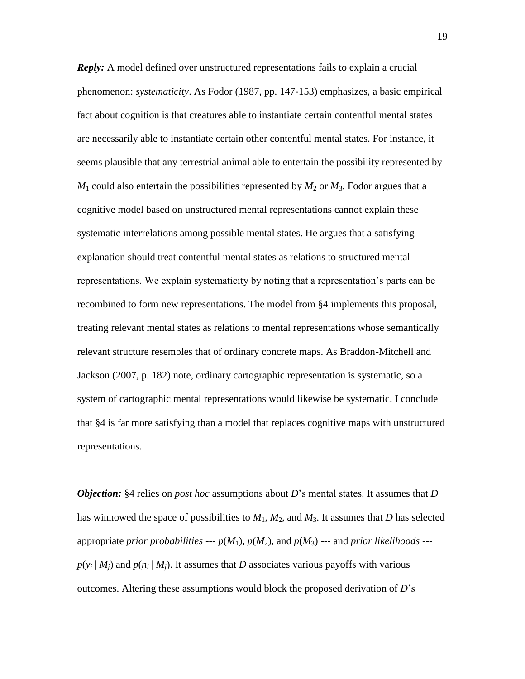*Reply:* A model defined over unstructured representations fails to explain a crucial phenomenon: *systematicity*. As Fodor (1987, pp. 147-153) emphasizes, a basic empirical fact about cognition is that creatures able to instantiate certain contentful mental states are necessarily able to instantiate certain other contentful mental states. For instance, it seems plausible that any terrestrial animal able to entertain the possibility represented by  $M_1$  could also entertain the possibilities represented by  $M_2$  or  $M_3$ . Fodor argues that a cognitive model based on unstructured mental representations cannot explain these systematic interrelations among possible mental states. He argues that a satisfying explanation should treat contentful mental states as relations to structured mental representations. We explain systematicity by noting that a representation's parts can be recombined to form new representations. The model from §4 implements this proposal, treating relevant mental states as relations to mental representations whose semantically relevant structure resembles that of ordinary concrete maps. As Braddon-Mitchell and Jackson (2007, p. 182) note, ordinary cartographic representation is systematic, so a system of cartographic mental representations would likewise be systematic. I conclude that §4 is far more satisfying than a model that replaces cognitive maps with unstructured representations.

*Objection:* §4 relies on *post hoc* assumptions about *D*'s mental states. It assumes that *D* has winnowed the space of possibilities to  $M_1$ ,  $M_2$ , and  $M_3$ . It assumes that *D* has selected appropriate *prior probabilities* ---  $p(M_1)$ ,  $p(M_2)$ , and  $p(M_3)$  --- and *prior likelihoods* -- $p(y_i | M_j)$  and  $p(n_i | M_j)$ . It assumes that *D* associates various payoffs with various outcomes. Altering these assumptions would block the proposed derivation of *D*'s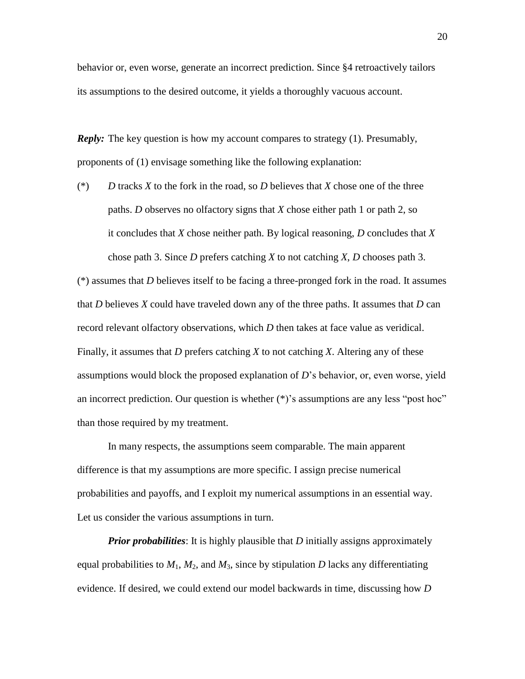behavior or, even worse, generate an incorrect prediction. Since §4 retroactively tailors its assumptions to the desired outcome, it yields a thoroughly vacuous account.

*Reply:* The key question is how my account compares to strategy (1). Presumably, proponents of (1) envisage something like the following explanation:

(\*) *D* tracks *X* to the fork in the road, so *D* believes that *X* chose one of the three paths. *D* observes no olfactory signs that *X* chose either path 1 or path 2, so it concludes that *X* chose neither path. By logical reasoning, *D* concludes that *X* chose path 3. Since *D* prefers catching *X* to not catching *X*, *D* chooses path 3.

(\*) assumes that *D* believes itself to be facing a three-pronged fork in the road. It assumes that *D* believes *X* could have traveled down any of the three paths. It assumes that *D* can record relevant olfactory observations, which *D* then takes at face value as veridical. Finally, it assumes that *D* prefers catching *X* to not catching *X*. Altering any of these assumptions would block the proposed explanation of *D*'s behavior, or, even worse, yield an incorrect prediction. Our question is whether (\*)'s assumptions are any less "post hoc" than those required by my treatment.

In many respects, the assumptions seem comparable. The main apparent difference is that my assumptions are more specific. I assign precise numerical probabilities and payoffs, and I exploit my numerical assumptions in an essential way. Let us consider the various assumptions in turn.

*Prior probabilities*: It is highly plausible that *D* initially assigns approximately equal probabilities to  $M_1$ ,  $M_2$ , and  $M_3$ , since by stipulation *D* lacks any differentiating evidence. If desired, we could extend our model backwards in time, discussing how *D*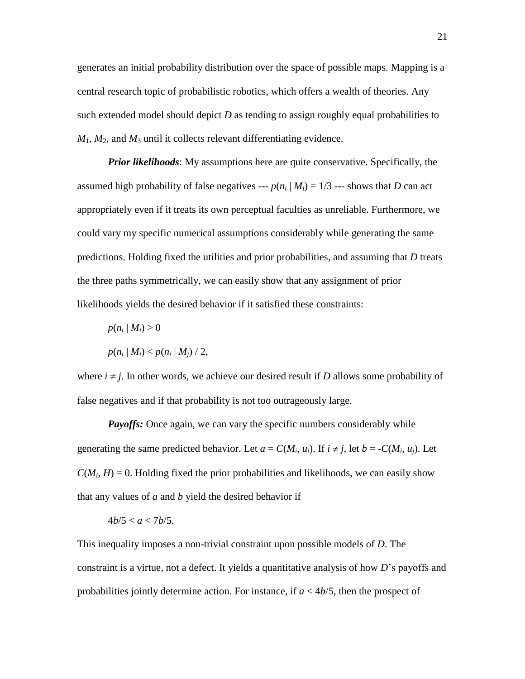generates an initial probability distribution over the space of possible maps. Mapping is a central research topic of probabilistic robotics, which offers a wealth of theories. Any such extended model should depict *D* as tending to assign roughly equal probabilities to  $M_1$ ,  $M_2$ , and  $M_3$  until it collects relevant differentiating evidence.

*Prior likelihoods*: My assumptions here are quite conservative. Specifically, the assumed high probability of false negatives ---  $p(n_i | M_i) = 1/3$  --- shows that *D* can act appropriately even if it treats its own perceptual faculties as unreliable. Furthermore, we could vary my specific numerical assumptions considerably while generating the same predictions. Holding fixed the utilities and prior probabilities, and assuming that *D* treats the three paths symmetrically, we can easily show that any assignment of prior likelihoods yields the desired behavior if it satisfied these constraints:

$$
p(n_i | M_i) > 0
$$
  
 
$$
p(n_i | M_i) < p(n_i | M_j) / 2,
$$

where  $i \neq j$ . In other words, we achieve our desired result if *D* allows some probability of false negatives and if that probability is not too outrageously large.

*Payoffs:* Once again, we can vary the specific numbers considerably while generating the same predicted behavior. Let  $a = C(M_i, u_i)$ . If  $i \neq j$ , let  $b = -C(M_i, u_j)$ . Let  $C(M_i, H) = 0$ . Holding fixed the prior probabilities and likelihoods, we can easily show that any values of *a* and *b* yield the desired behavior if

$$
4b/5
$$

This inequality imposes a non-trivial constraint upon possible models of *D*. The constraint is a virtue, not a defect. It yields a quantitative analysis of how *D*'s payoffs and probabilities jointly determine action. For instance, if *a* < 4*b*/5, then the prospect of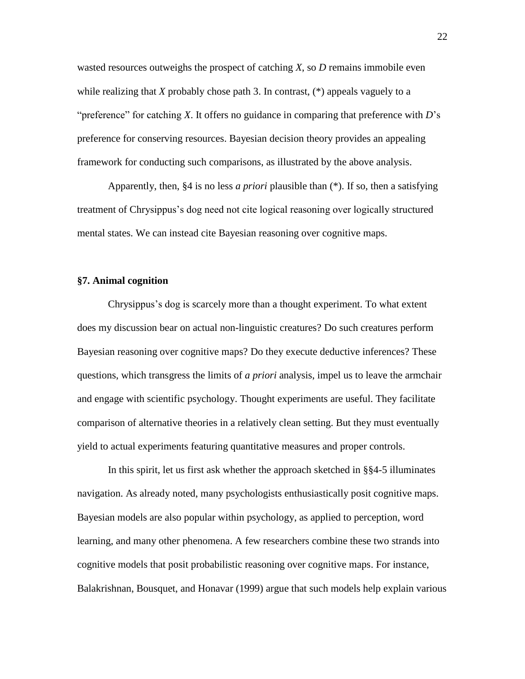wasted resources outweighs the prospect of catching *X*, so *D* remains immobile even while realizing that *X* probably chose path 3. In contrast, (\*) appeals vaguely to a "preference" for catching *X*. It offers no guidance in comparing that preference with *D*'s preference for conserving resources. Bayesian decision theory provides an appealing framework for conducting such comparisons, as illustrated by the above analysis.

Apparently, then, §4 is no less *a priori* plausible than (\*). If so, then a satisfying treatment of Chrysippus's dog need not cite logical reasoning over logically structured mental states. We can instead cite Bayesian reasoning over cognitive maps.

# **§7. Animal cognition**

Chrysippus's dog is scarcely more than a thought experiment. To what extent does my discussion bear on actual non-linguistic creatures? Do such creatures perform Bayesian reasoning over cognitive maps? Do they execute deductive inferences? These questions, which transgress the limits of *a priori* analysis, impel us to leave the armchair and engage with scientific psychology. Thought experiments are useful. They facilitate comparison of alternative theories in a relatively clean setting. But they must eventually yield to actual experiments featuring quantitative measures and proper controls.

In this spirit, let us first ask whether the approach sketched in §§4-5 illuminates navigation. As already noted, many psychologists enthusiastically posit cognitive maps. Bayesian models are also popular within psychology, as applied to perception, word learning, and many other phenomena. A few researchers combine these two strands into cognitive models that posit probabilistic reasoning over cognitive maps. For instance, Balakrishnan, Bousquet, and Honavar (1999) argue that such models help explain various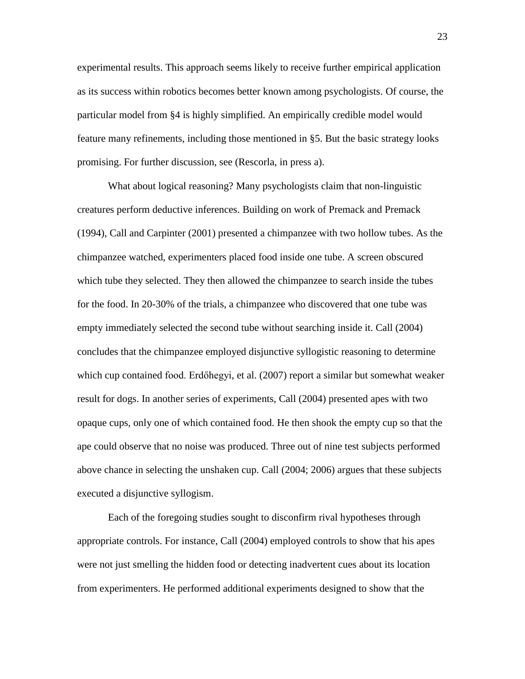experimental results. This approach seems likely to receive further empirical application as its success within robotics becomes better known among psychologists. Of course, the particular model from §4 is highly simplified. An empirically credible model would feature many refinements, including those mentioned in §5. But the basic strategy looks promising. For further discussion, see (Rescorla, in press a).

What about logical reasoning? Many psychologists claim that non-linguistic creatures perform deductive inferences. Building on work of Premack and Premack (1994), Call and Carpinter (2001) presented a chimpanzee with two hollow tubes. As the chimpanzee watched, experimenters placed food inside one tube. A screen obscured which tube they selected. They then allowed the chimpanzee to search inside the tubes for the food. In 20-30% of the trials, a chimpanzee who discovered that one tube was empty immediately selected the second tube without searching inside it. Call (2004) concludes that the chimpanzee employed disjunctive syllogistic reasoning to determine which cup contained food. Erdőhegyi, et al. (2007) report a similar but somewhat weaker result for dogs. In another series of experiments, Call (2004) presented apes with two opaque cups, only one of which contained food. He then shook the empty cup so that the ape could observe that no noise was produced. Three out of nine test subjects performed above chance in selecting the unshaken cup. Call (2004; 2006) argues that these subjects executed a disjunctive syllogism.

Each of the foregoing studies sought to disconfirm rival hypotheses through appropriate controls. For instance, Call (2004) employed controls to show that his apes were not just smelling the hidden food or detecting inadvertent cues about its location from experimenters. He performed additional experiments designed to show that the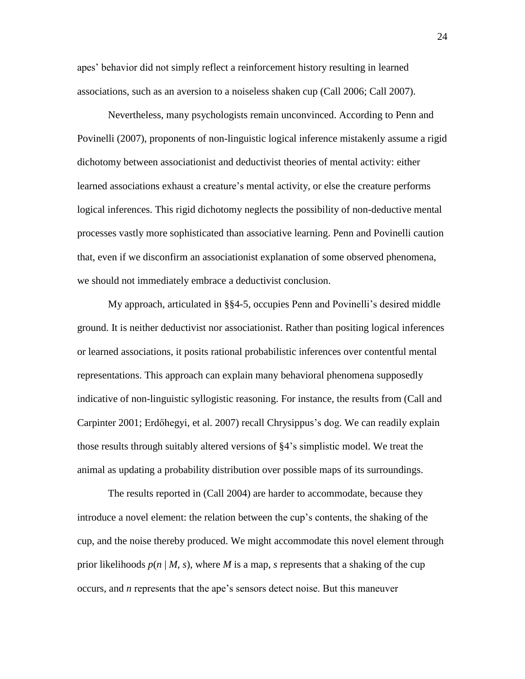apes' behavior did not simply reflect a reinforcement history resulting in learned associations, such as an aversion to a noiseless shaken cup (Call 2006; Call 2007).

Nevertheless, many psychologists remain unconvinced. According to Penn and Povinelli (2007), proponents of non-linguistic logical inference mistakenly assume a rigid dichotomy between associationist and deductivist theories of mental activity: either learned associations exhaust a creature's mental activity, or else the creature performs logical inferences. This rigid dichotomy neglects the possibility of non-deductive mental processes vastly more sophisticated than associative learning. Penn and Povinelli caution that, even if we disconfirm an associationist explanation of some observed phenomena, we should not immediately embrace a deductivist conclusion.

My approach, articulated in §§4-5, occupies Penn and Povinelli's desired middle ground. It is neither deductivist nor associationist. Rather than positing logical inferences or learned associations, it posits rational probabilistic inferences over contentful mental representations. This approach can explain many behavioral phenomena supposedly indicative of non-linguistic syllogistic reasoning. For instance, the results from (Call and Carpinter 2001; Erdőhegyi, et al. 2007) recall Chrysippus's dog. We can readily explain those results through suitably altered versions of §4's simplistic model. We treat the animal as updating a probability distribution over possible maps of its surroundings.

The results reported in (Call 2004) are harder to accommodate, because they introduce a novel element: the relation between the cup's contents, the shaking of the cup, and the noise thereby produced. We might accommodate this novel element through prior likelihoods  $p(n | M, s)$ , where *M* is a map, *s* represents that a shaking of the cup occurs, and *n* represents that the ape's sensors detect noise. But this maneuver

24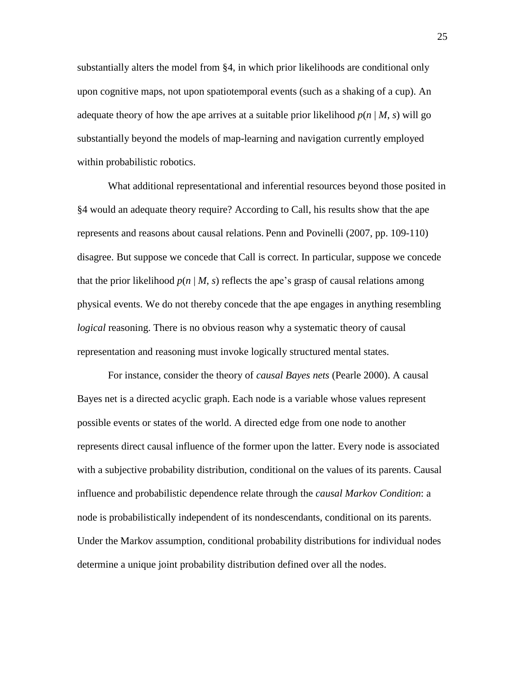substantially alters the model from §4, in which prior likelihoods are conditional only upon cognitive maps, not upon spatiotemporal events (such as a shaking of a cup). An adequate theory of how the ape arrives at a suitable prior likelihood  $p(n | M, s)$  will go substantially beyond the models of map-learning and navigation currently employed within probabilistic robotics.

What additional representational and inferential resources beyond those posited in §4 would an adequate theory require? According to Call, his results show that the ape represents and reasons about causal relations. Penn and Povinelli (2007, pp. 109-110) disagree. But suppose we concede that Call is correct. In particular, suppose we concede that the prior likelihood  $p(n | M, s)$  reflects the ape's grasp of causal relations among physical events. We do not thereby concede that the ape engages in anything resembling *logical* reasoning. There is no obvious reason why a systematic theory of causal representation and reasoning must invoke logically structured mental states.

For instance, consider the theory of *causal Bayes nets* (Pearle 2000). A causal Bayes net is a directed acyclic graph. Each node is a variable whose values represent possible events or states of the world. A directed edge from one node to another represents direct causal influence of the former upon the latter. Every node is associated with a subjective probability distribution, conditional on the values of its parents. Causal influence and probabilistic dependence relate through the *causal Markov Condition*: a node is probabilistically independent of its nondescendants, conditional on its parents. Under the Markov assumption, conditional probability distributions for individual nodes determine a unique joint probability distribution defined over all the nodes.

25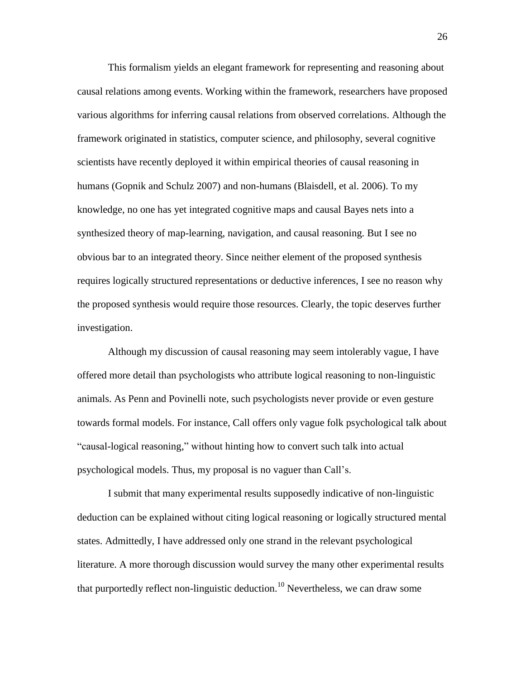This formalism yields an elegant framework for representing and reasoning about causal relations among events. Working within the framework, researchers have proposed various algorithms for inferring causal relations from observed correlations. Although the framework originated in statistics, computer science, and philosophy, several cognitive scientists have recently deployed it within empirical theories of causal reasoning in humans (Gopnik and Schulz 2007) and non-humans (Blaisdell, et al. 2006). To my knowledge, no one has yet integrated cognitive maps and causal Bayes nets into a synthesized theory of map-learning, navigation, and causal reasoning. But I see no obvious bar to an integrated theory. Since neither element of the proposed synthesis requires logically structured representations or deductive inferences, I see no reason why the proposed synthesis would require those resources. Clearly, the topic deserves further investigation.

Although my discussion of causal reasoning may seem intolerably vague, I have offered more detail than psychologists who attribute logical reasoning to non-linguistic animals. As Penn and Povinelli note, such psychologists never provide or even gesture towards formal models. For instance, Call offers only vague folk psychological talk about "causal-logical reasoning," without hinting how to convert such talk into actual psychological models. Thus, my proposal is no vaguer than Call's.

I submit that many experimental results supposedly indicative of non-linguistic deduction can be explained without citing logical reasoning or logically structured mental states. Admittedly, I have addressed only one strand in the relevant psychological literature. A more thorough discussion would survey the many other experimental results that purportedly reflect non-linguistic deduction.<sup>10</sup> Nevertheless, we can draw some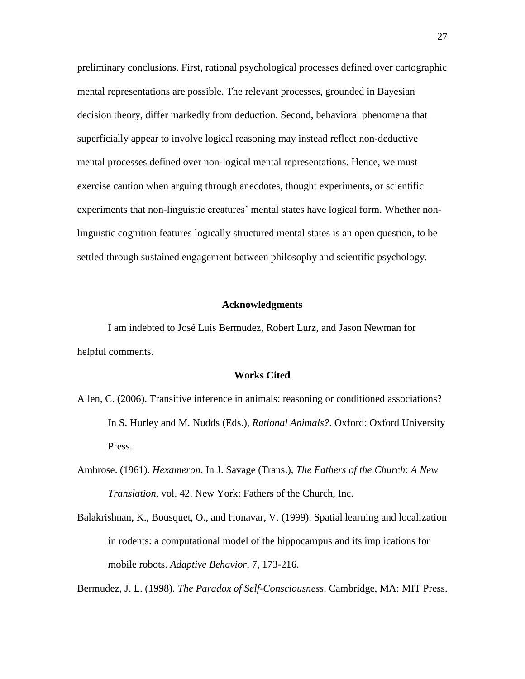preliminary conclusions. First, rational psychological processes defined over cartographic mental representations are possible. The relevant processes, grounded in Bayesian decision theory, differ markedly from deduction. Second, behavioral phenomena that superficially appear to involve logical reasoning may instead reflect non-deductive mental processes defined over non-logical mental representations. Hence, we must exercise caution when arguing through anecdotes, thought experiments, or scientific experiments that non-linguistic creatures' mental states have logical form. Whether nonlinguistic cognition features logically structured mental states is an open question, to be settled through sustained engagement between philosophy and scientific psychology.

### **Acknowledgments**

I am indebted to José Luis Bermudez, Robert Lurz, and Jason Newman for helpful comments.

### **Works Cited**

- Allen, C. (2006). Transitive inference in animals: reasoning or conditioned associations? In S. Hurley and M. Nudds (Eds.), *Rational Animals?*. Oxford: Oxford University Press.
- Ambrose. (1961). *Hexameron*. In J. Savage (Trans.), *The Fathers of the Church*: *A New Translation*, vol. 42. New York: Fathers of the Church, Inc.
- Balakrishnan, K., Bousquet, O., and Honavar, V. (1999). Spatial learning and localization in rodents: a computational model of the hippocampus and its implications for mobile robots. *Adaptive Behavior*, 7, 173-216.

Bermudez, J. L. (1998). *The Paradox of Self-Consciousness*. Cambridge, MA: MIT Press.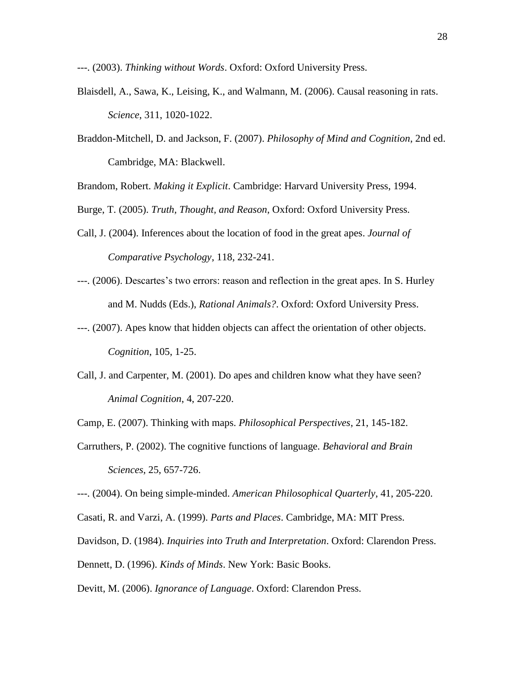---. (2003). *Thinking without Words*. Oxford: Oxford University Press.

- Blaisdell, A., Sawa, K., Leising, K., and Walmann, M. (2006). Causal reasoning in rats. *Science*, 311, 1020-1022.
- Braddon-Mitchell, D. and Jackson, F. (2007). *Philosophy of Mind and Cognition*, 2nd ed. Cambridge, MA: Blackwell.

Brandom, Robert. *Making it Explicit*. Cambridge: Harvard University Press, 1994.

Burge, T. (2005). *Truth, Thought, and Reason*, Oxford: Oxford University Press.

- Call, J. (2004). Inferences about the location of food in the great apes. *Journal of Comparative Psychology*, 118, 232-241.
- ---. (2006). Descartes's two errors: reason and reflection in the great apes. In S. Hurley and M. Nudds (Eds.), *Rational Animals?*. Oxford: Oxford University Press.
- ---. (2007). Apes know that hidden objects can affect the orientation of other objects. *Cognition*, 105, 1-25.
- Call, J. and Carpenter, M. (2001). Do apes and children know what they have seen? *Animal Cognition*, 4, 207-220.

Camp, E. (2007). Thinking with maps. *Philosophical Perspectives*, 21, 145-182.

Carruthers, P. (2002). The cognitive functions of language. *Behavioral and Brain Sciences*, 25, 657-726.

---. (2004). On being simple-minded. *American Philosophical Quarterly*, 41, 205-220.

Casati, R. and Varzi, A. (1999). *Parts and Places*. Cambridge, MA: MIT Press.

Davidson, D. (1984). *Inquiries into Truth and Interpretation*. Oxford: Clarendon Press.

Dennett, D. (1996). *Kinds of Minds*. New York: Basic Books.

Devitt, M. (2006). *Ignorance of Language*. Oxford: Clarendon Press.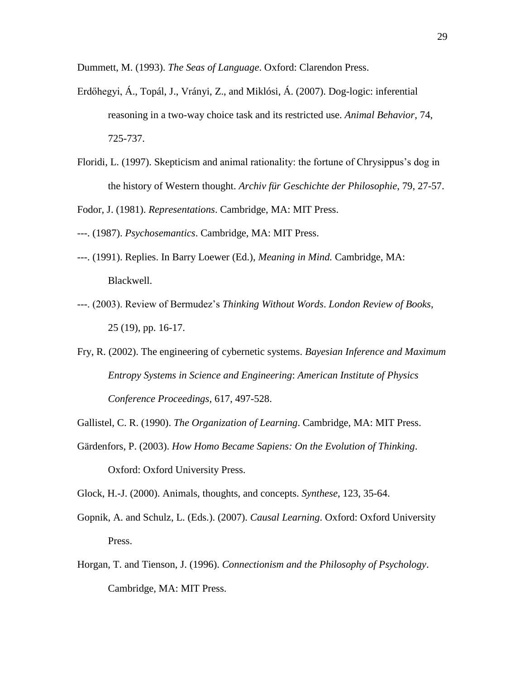Dummett, M. (1993). *The Seas of Language*. Oxford: Clarendon Press.

- Erdőhegyi, Á., Topál, J., Vrányi, Z., and Miklósi, Á. (2007). Dog-logic: inferential reasoning in a two-way choice task and its restricted use. *Animal Behavior*, 74, 725-737.
- Floridi, L. (1997). Skepticism and animal rationality: the fortune of Chrysippus's dog in the history of Western thought. *Archiv für Geschichte der Philosophie*, 79, 27-57.

Fodor, J. (1981). *Representations*. Cambridge, MA: MIT Press.

---. (1987). *Psychosemantics*. Cambridge, MA: MIT Press.

- ---. (1991). Replies. In Barry Loewer (Ed.), *Meaning in Mind.* Cambridge, MA: Blackwell.
- ---. (2003). Review of Bermudez's *Thinking Without Words*. *London Review of Books*, 25 (19), pp. 16-17.
- Fry, R. (2002). The engineering of cybernetic systems. *Bayesian Inference and Maximum Entropy Systems in Science and Engineering*: *American Institute of Physics Conference Proceedings*, 617, 497-528.
- Gallistel, C. R. (1990). *The Organization of Learning*. Cambridge, MA: MIT Press.
- Gärdenfors, P. (2003). *How Homo Became Sapiens: On the Evolution of Thinking*. Oxford: Oxford University Press.

Glock, H.-J. (2000). Animals, thoughts, and concepts. *Synthese*, 123, 35-64.

- Gopnik, A. and Schulz, L. (Eds.). (2007). *Causal Learning*. Oxford: Oxford University Press.
- Horgan, T. and Tienson, J. (1996). *Connectionism and the Philosophy of Psychology*. Cambridge, MA: MIT Press.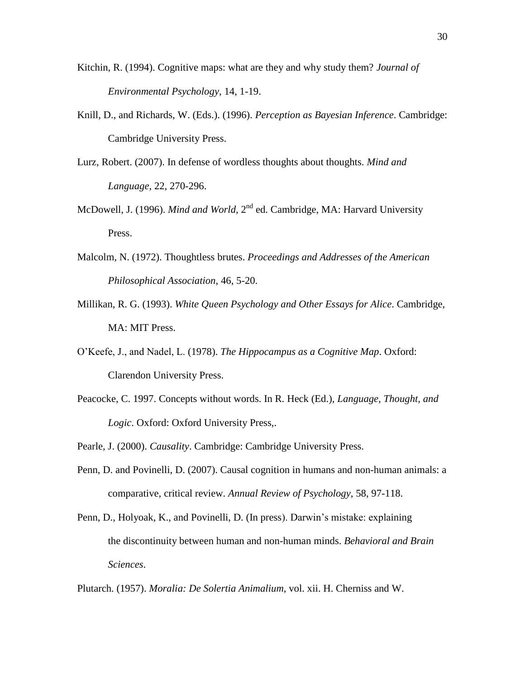- Kitchin, R. (1994). Cognitive maps: what are they and why study them? *Journal of Environmental Psychology*, 14, 1-19.
- Knill, D., and Richards, W. (Eds.). (1996). *Perception as Bayesian Inference*. Cambridge: Cambridge University Press.
- Lurz, Robert. (2007). In defense of wordless thoughts about thoughts. *Mind and Language*, 22, 270-296.
- McDowell, J. (1996). *Mind and World*, 2<sup>nd</sup> ed. Cambridge, MA: Harvard University Press.
- Malcolm, N. (1972). Thoughtless brutes. *Proceedings and Addresses of the American Philosophical Association*, 46, 5-20.
- Millikan, R. G. (1993). *White Queen Psychology and Other Essays for Alice*. Cambridge, MA: MIT Press.
- O'Keefe, J., and Nadel, L. (1978). *The Hippocampus as a Cognitive Map*. Oxford: Clarendon University Press.
- Peacocke, C. 1997. Concepts without words. In R. Heck (Ed.), *Language, Thought, and Logic*. Oxford: Oxford University Press,.
- Pearle, J. (2000). *Causality*. Cambridge: Cambridge University Press.
- Penn, D. and Povinelli, D. (2007). Causal cognition in humans and non-human animals: a comparative, critical review. *Annual Review of Psychology*, 58, 97-118.
- Penn, D., Holyoak, K., and Povinelli, D. (In press). Darwin's mistake: explaining the discontinuity between human and non-human minds. *Behavioral and Brain Sciences*.

Plutarch. (1957). *Moralia: De Solertia Animalium*, vol. xii. H. Cherniss and W.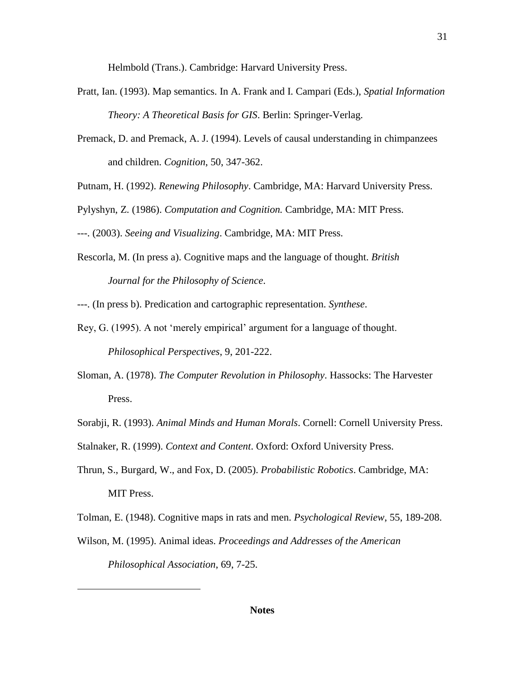Helmbold (Trans.). Cambridge: Harvard University Press.

- Pratt, Ian. (1993). Map semantics. In A. Frank and I. Campari (Eds.), *Spatial Information Theory: A Theoretical Basis for GIS*. Berlin: Springer-Verlag.
- Premack, D. and Premack, A. J. (1994). Levels of causal understanding in chimpanzees and children. *Cognition*, 50, 347-362.
- Putnam, H. (1992). *Renewing Philosophy*. Cambridge, MA: Harvard University Press.

Pylyshyn, Z. (1986). *Computation and Cognition.* Cambridge, MA: MIT Press.

---. (2003). *Seeing and Visualizing*. Cambridge, MA: MIT Press.

Rescorla, M. (In press a). Cognitive maps and the language of thought. *British Journal for the Philosophy of Science*.

---. (In press b). Predication and cartographic representation. *Synthese*.

- Rey, G. (1995). A not 'merely empirical' argument for a language of thought. *Philosophical Perspectives*, 9, 201-222.
- Sloman, A. (1978). *The Computer Revolution in Philosophy*. Hassocks: The Harvester Press.
- Sorabji, R. (1993). *Animal Minds and Human Morals*. Cornell: Cornell University Press.
- Stalnaker, R. (1999). *Context and Content*. Oxford: Oxford University Press.
- Thrun, S., Burgard, W., and Fox, D. (2005). *Probabilistic Robotics*. Cambridge, MA: MIT Press.

Tolman, E. (1948). Cognitive maps in rats and men. *Psychological Review*, 55, 189-208.

Wilson, M. (1995). Animal ideas. *Proceedings and Addresses of the American Philosophical Association*, 69, 7-25.

 $\overline{a}$